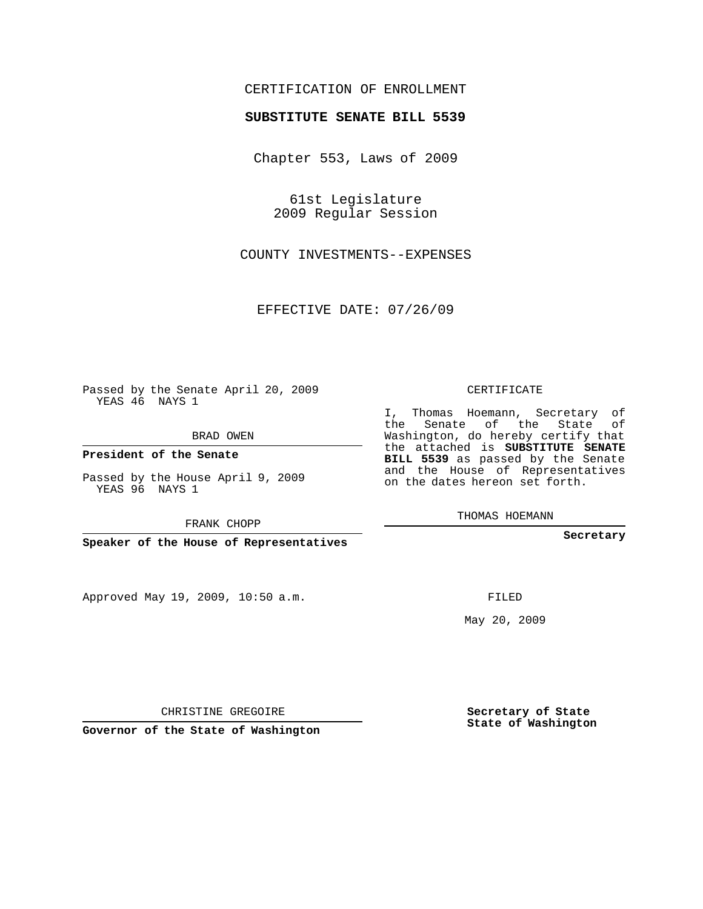## CERTIFICATION OF ENROLLMENT

## **SUBSTITUTE SENATE BILL 5539**

Chapter 553, Laws of 2009

61st Legislature 2009 Regular Session

COUNTY INVESTMENTS--EXPENSES

EFFECTIVE DATE: 07/26/09

Passed by the Senate April 20, 2009 YEAS 46 NAYS 1

BRAD OWEN

**President of the Senate**

Passed by the House April 9, 2009 YEAS 96 NAYS 1

FRANK CHOPP

**Speaker of the House of Representatives**

Approved May 19, 2009, 10:50 a.m.

CERTIFICATE

I, Thomas Hoemann, Secretary of the Senate of the State of Washington, do hereby certify that the attached is **SUBSTITUTE SENATE BILL 5539** as passed by the Senate and the House of Representatives on the dates hereon set forth.

THOMAS HOEMANN

**Secretary**

FILED

May 20, 2009

**Secretary of State State of Washington**

CHRISTINE GREGOIRE

**Governor of the State of Washington**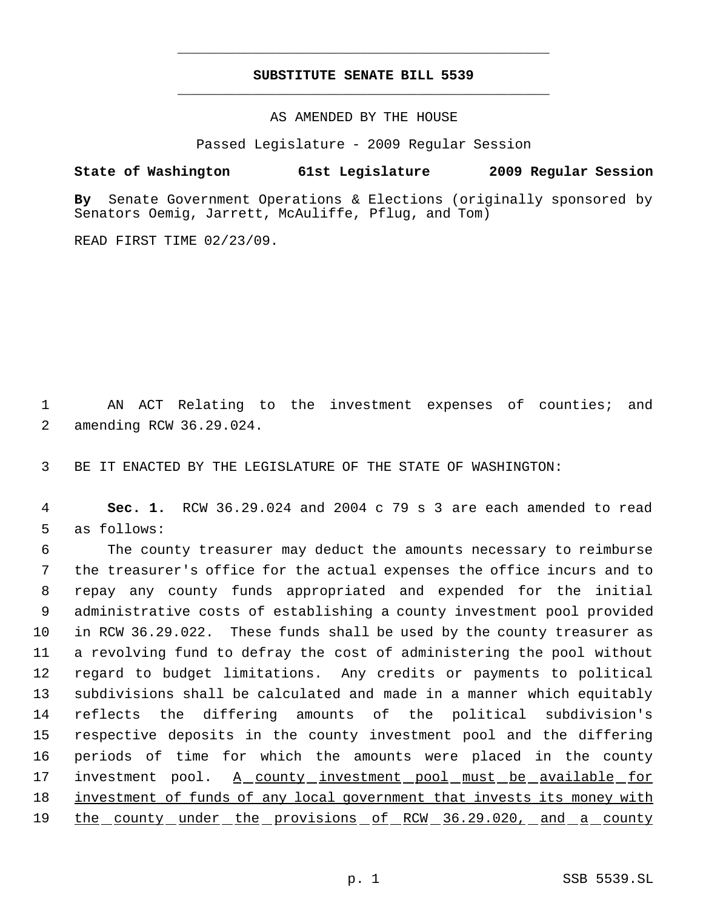## **SUBSTITUTE SENATE BILL 5539** \_\_\_\_\_\_\_\_\_\_\_\_\_\_\_\_\_\_\_\_\_\_\_\_\_\_\_\_\_\_\_\_\_\_\_\_\_\_\_\_\_\_\_\_\_

\_\_\_\_\_\_\_\_\_\_\_\_\_\_\_\_\_\_\_\_\_\_\_\_\_\_\_\_\_\_\_\_\_\_\_\_\_\_\_\_\_\_\_\_\_

AS AMENDED BY THE HOUSE

Passed Legislature - 2009 Regular Session

## **State of Washington 61st Legislature 2009 Regular Session**

**By** Senate Government Operations & Elections (originally sponsored by Senators Oemig, Jarrett, McAuliffe, Pflug, and Tom)

READ FIRST TIME 02/23/09.

 1 AN ACT Relating to the investment expenses of counties; and 2 amending RCW 36.29.024.

3 BE IT ENACTED BY THE LEGISLATURE OF THE STATE OF WASHINGTON:

 4 **Sec. 1.** RCW 36.29.024 and 2004 c 79 s 3 are each amended to read 5 as follows:

 The county treasurer may deduct the amounts necessary to reimburse the treasurer's office for the actual expenses the office incurs and to repay any county funds appropriated and expended for the initial administrative costs of establishing a county investment pool provided in RCW 36.29.022. These funds shall be used by the county treasurer as a revolving fund to defray the cost of administering the pool without regard to budget limitations. Any credits or payments to political subdivisions shall be calculated and made in a manner which equitably reflects the differing amounts of the political subdivision's respective deposits in the county investment pool and the differing periods of time for which the amounts were placed in the county investment pool. A county investment pool must be available for 18 investment of funds of any local government that invests its money with 19 the county under the provisions of RCW 36.29.020, and a county